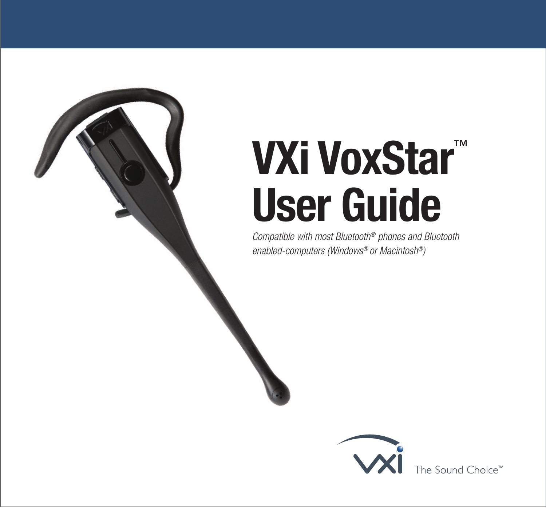# **VXi VoxStar**™ **User Guide**

*Compatible with most Bluetooth® phones and Bluetooth enabled-computers (Windows® or Macintosh®)*

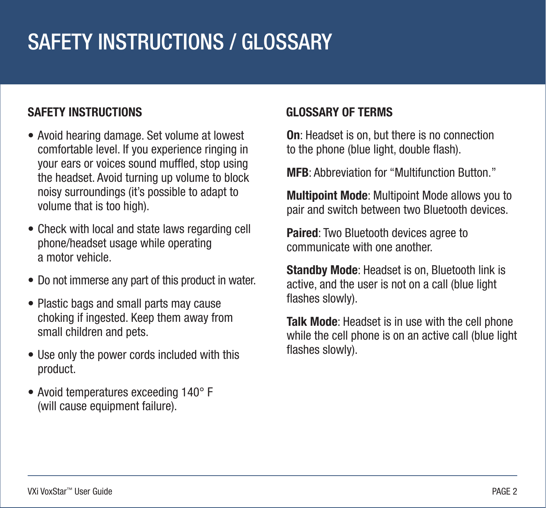# SAFETY INSTRUCTIONS / GLOSSARY

#### **SAFETY INSTRUCTIONS**

- Avoid hearing damage. Set volume at lowest comfortable level. If you experience ringing in your ears or voices sound muffled, stop using the headset. Avoid turning up volume to block noisy surroundings (it's possible to adapt to volume that is too high).
- Check with local and state laws regarding cell phone/headset usage while operating a motor vehicle.
- Do not immerse any part of this product in water.
- Plastic bags and small parts may cause choking if ingested. Keep them away from small children and pets.
- Use only the power cords included with this product.
- Avoid temperatures exceeding 140° F (will cause equipment failure).

#### **GLOSSARY OF TERMS**

**On**: Headset is on, but there is no connection to the phone (blue light, double flash).

**MFB**: Abbreviation for "Multifunction Button."

**Multipoint Mode**: Multipoint Mode allows you to pair and switch between two Bluetooth devices.

**Paired:** Two Bluetooth devices agree to communicate with one another.

**Standby Mode**: Headset is on, Bluetooth link is active, and the user is not on a call (blue light flashes slowly).

**Talk Mode**: Headset is in use with the cell phone while the cell phone is on an active call (blue light flashes slowly).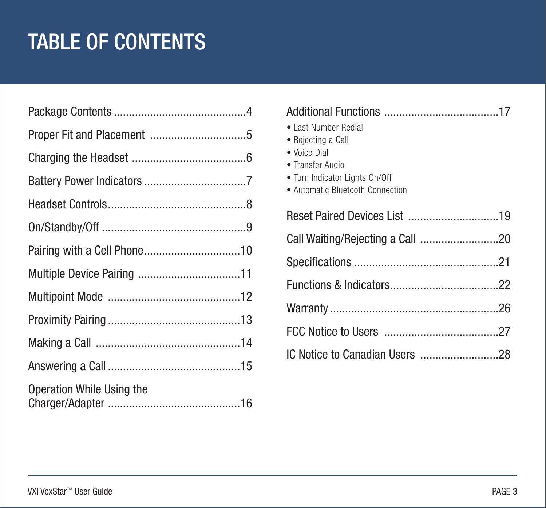# TABLE OF CONTENTS

| <b>Operation While Using the</b> |  |
|----------------------------------|--|

| • Last Number Redial<br>• Rejecting a Call<br>• Voice Dial<br>• Transfer Audio<br>• Turn Indicator Lights On/Off<br>• Automatic Bluetooth Connection |
|------------------------------------------------------------------------------------------------------------------------------------------------------|
| Reset Paired Devices List 19                                                                                                                         |
|                                                                                                                                                      |
|                                                                                                                                                      |
|                                                                                                                                                      |
|                                                                                                                                                      |
|                                                                                                                                                      |
| IC Notice to Canadian Users 28                                                                                                                       |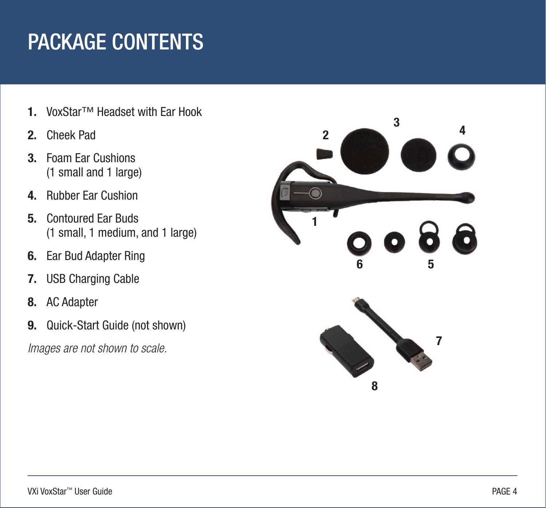# <span id="page-3-0"></span>PACKAGE CONTENTS

- **1.** VoxStar™ Headset with Ear Hook
- **2.** Cheek Pad
- **3.** Foam Ear Cushions (1 small and 1 large)
- **4.** Rubber Ear Cushion
- **5.** Contoured Ear Buds (1 small, 1 medium, and 1 large)
- **6.** Ear Bud Adapter Ring
- **7.** USB Charging Cable
- **8.** AC Adapter
- **9.** Quick-Start Guide (not shown)

*Images are not shown to scale.*

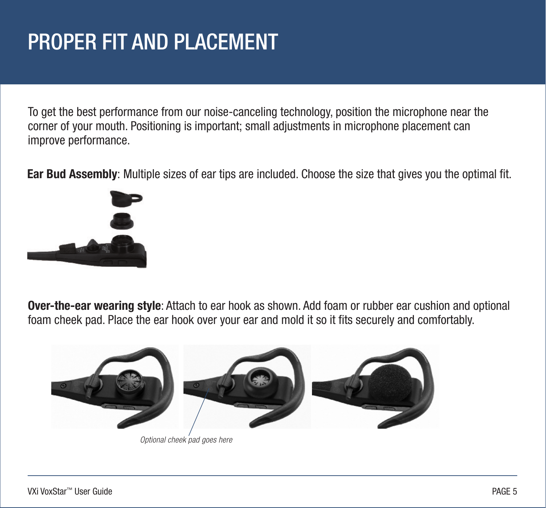# <span id="page-4-0"></span>PROPER FIT AND PLACEMENT

To get the best performance from our noise-canceling technology, position the microphone near the corner of your mouth. Positioning is important; small adjustments in microphone placement can improve performance.

**Ear Bud Assembly**: Multiple sizes of ear tips are included. Choose the size that gives you the optimal fit.



**Over-the-ear wearing style**: Attach to ear hook as shown. Add foam or rubber ear cushion and optional foam cheek pad. Place the ear hook over your ear and mold it so it fits securely and comfortably.



*Optional cheek pad goes here*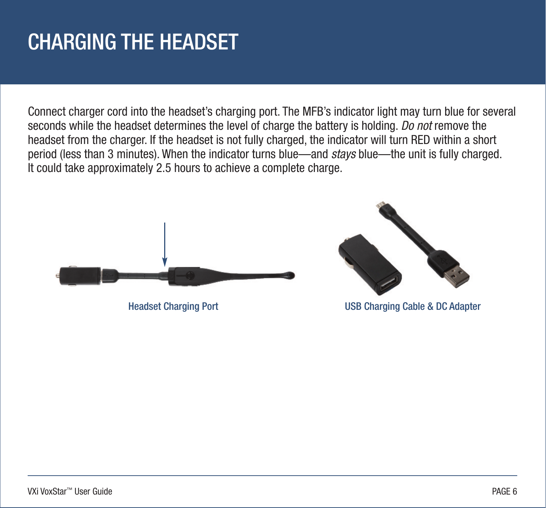### <span id="page-5-0"></span>CHARGING THE HEADSET

Connect charger cord into the headset's charging port. The MFB's indicator light may turn blue for several seconds while the headset determines the level of charge the battery is holding. *Do not* remove the headset from the charger. If the headset is not fully charged, the indicator will turn RED within a short period (less than 3 minutes). When the indicator turns blue—and *stays* blue—the unit is fully charged. It could take approximately 2.5 hours to achieve a complete charge.





Headset Charging Port USB Charging Cable & DC Adapter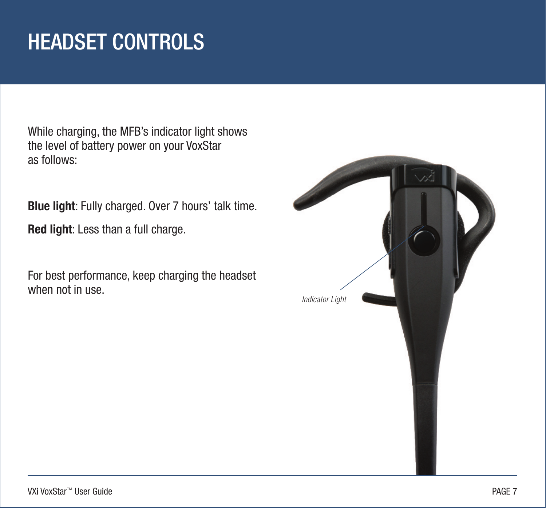# <span id="page-6-0"></span>HEADSET CONTROLS

While charging, the MFB's indicator light shows the level of battery power on your VoxStar as follows:

**Blue light**: Fully charged. Over 7 hours' talk time.

**Red light**: Less than a full charge.

For best performance, keep charging the headset when not in use.

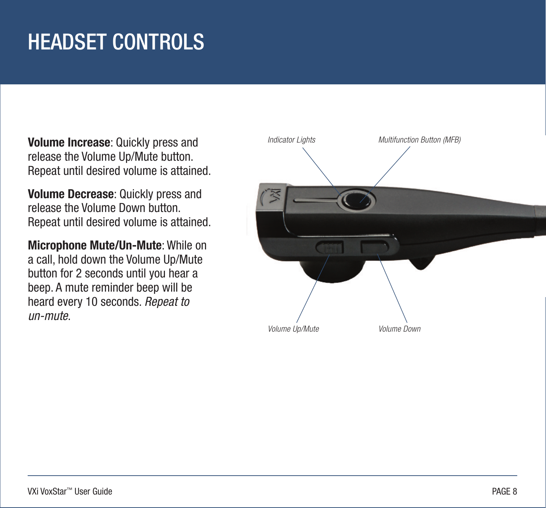# <span id="page-7-0"></span>HEADSET CONTROLS

**Volume Increase**: Quickly press and release the Volume Up/Mute button. Repeat until desired volume is attained.

**Volume Decrease**: Quickly press and release the Volume Down button. Repeat until desired volume is attained.

**Microphone Mute/Un-Mute**: While on a call, hold down the Volume Up/Mute button for 2 seconds until you hear a beep. A mute reminder beep will be heard every 10 seconds. *Repeat to un-mute*.

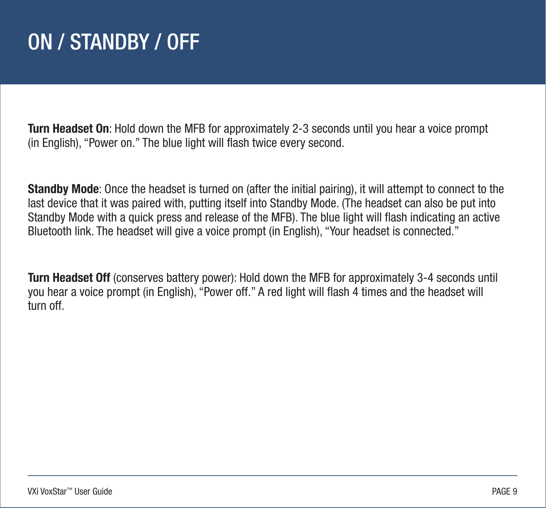### <span id="page-8-0"></span>ON / STANDBY / OFF

**Turn Headset On**: Hold down the MFB for approximately 2-3 seconds until you hear a voice prompt (in English), "Power on." The blue light will flash twice every second.

**Standby Mode**: Once the headset is turned on (after the initial pairing), it will attempt to connect to the last device that it was paired with, putting itself into Standby Mode. (The headset can also be put into Standby Mode with a quick press and release of the MFB). The blue light will flash indicating an active Bluetooth link. The headset will give a voice prompt (in English), "Your headset is connected."

**Turn Headset Off** (conserves battery power): Hold down the MFB for approximately 3-4 seconds until you hear a voice prompt (in English), "Power off." A red light will flash 4 times and the headset will turn off.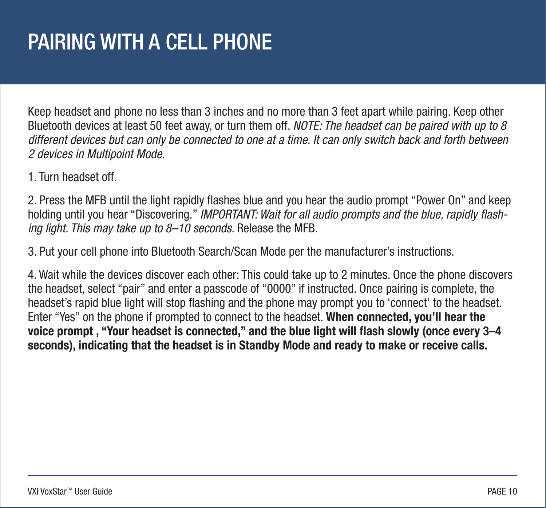# <span id="page-9-0"></span>PAIRING WITH A CELL PHONE

Keep headset and phone no less than 3 inches and no more than 3 feet apart while pairing. Keep other Bluetooth devices at least 50 feet away, or turn them off. *NOTE: The headset can be paired with up to 8 different devices but can only be connected to one at a time. It can only switch back and forth between 2 devices in Multipoint Mode.*

1. Turn headset off.

2. Press the MFB until the light rapidly flashes blue and you hear the audio prompt "Power On" and keep holding until you hear "Discovering." *IMPORTANT: Wait for all audio prompts and the blue, rapidly flashing light. This may take up to 8–10 seconds*. Release the MFB.

3. Put your cell phone into Bluetooth Search/Scan Mode per the manufacturer's instructions.

4. Wait while the devices discover each other: This could take up to 2 minutes. Once the phone discovers the headset, select "pair" and enter a passcode of "0000" if instructed. Once pairing is complete, the headset's rapid blue light will stop flashing and the phone may prompt you to 'connect' to the headset. Enter "Yes" on the phone if prompted to connect to the headset. **When connected, you'll hear the voice prompt , "Your headset is connected," and the blue light will flash slowly (once every 3–4 seconds), indicating that the headset is in Standby Mode and ready to make or receive calls.**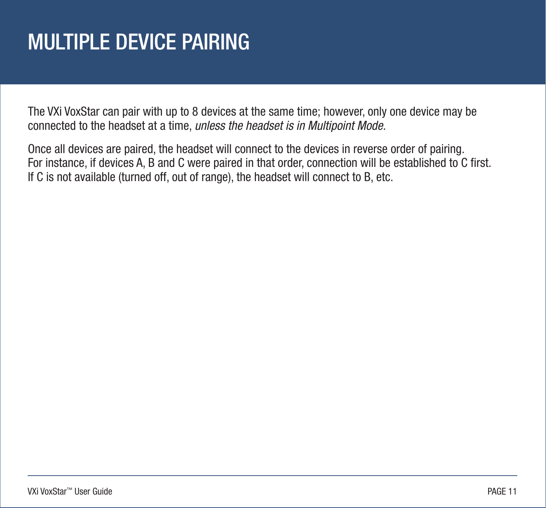# <span id="page-10-0"></span>MULTIPLE DEVICE PAIRING

The VXi VoxStar can pair with up to 8 devices at the same time; however, only one device may be connected to the headset at a time, *unless the headset is in Multipoint Mode.*

Once all devices are paired, the headset will connect to the devices in reverse order of pairing. For instance, if devices A, B and C were paired in that order, connection will be established to C first. If C is not available (turned off, out of range), the headset will connect to B, etc.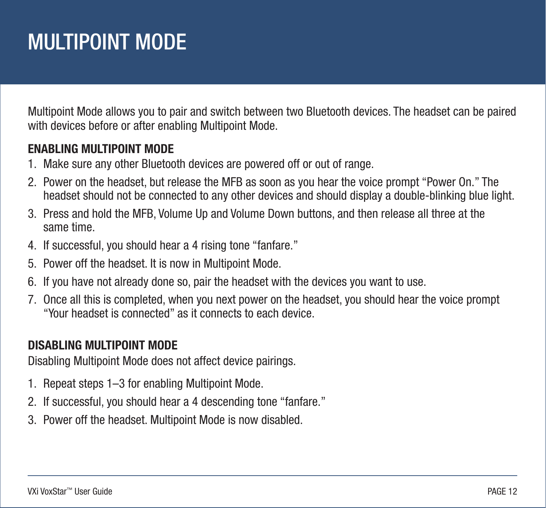# <span id="page-11-0"></span>MULTIPOINT MODE

Multipoint Mode allows you to pair and switch between two Bluetooth devices. The headset can be paired with devices before or after enabling Multipoint Mode.

#### **ENABLING MULTIPOINT MODE**

- 1. Make sure any other Bluetooth devices are powered off or out of range.
- 2. Power on the headset, but release the MFB as soon as you hear the voice prompt "Power On." The headset should not be connected to any other devices and should display a double-blinking blue light.
- 3. Press and hold the MFB, Volume Up and Volume Down buttons, and then release all three at the same time.
- 4. If successful, you should hear a 4 rising tone "fanfare."
- 5. Power off the headset. It is now in Multipoint Mode.
- 6. If you have not already done so, pair the headset with the devices you want to use.
- 7. Once all this is completed, when you next power on the headset, you should hear the voice prompt "Your headset is connected" as it connects to each device.

#### **DISABLING MULTIPOINT MODE**

Disabling Multipoint Mode does not affect device pairings.

- 1. Repeat steps 1–3 for enabling Multipoint Mode.
- 2. If successful, you should hear a 4 descending tone "fanfare."
- 3. Power off the headset. Multipoint Mode is now disabled.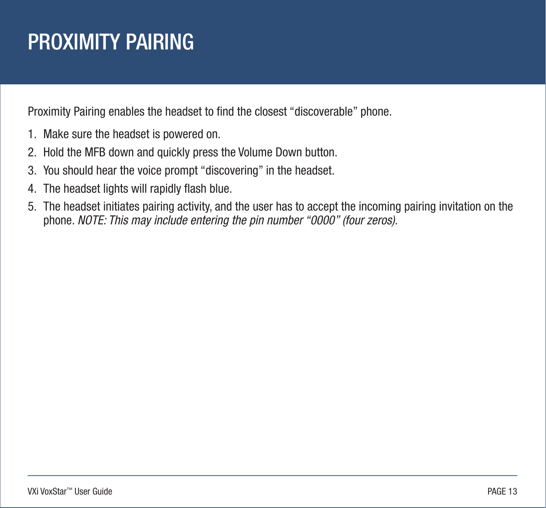### <span id="page-12-0"></span>PROXIMITY PAIRING

Proximity Pairing enables the headset to find the closest "discoverable" phone.

- 1. Make sure the headset is powered on.
- 2. Hold the MFB down and quickly press the Volume Down button.
- 3. You should hear the voice prompt "discovering" in the headset.
- 4. The headset lights will rapidly flash blue.
- 5. The headset initiates pairing activity, and the user has to accept the incoming pairing invitation on the phone. *NOTE: This may include entering the pin number "0000" (four zeros).*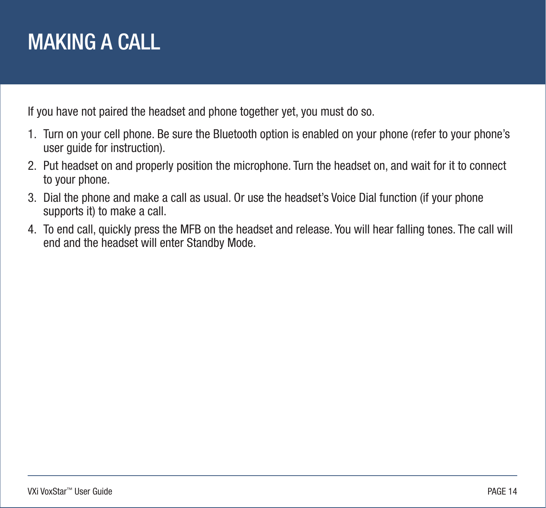#### <span id="page-13-0"></span>MAKING A CALL

If you have not paired the headset and phone together yet, you must do so.

- 1. Turn on your cell phone. Be sure the Bluetooth option is enabled on your phone (refer to your phone's user guide for instruction).
- 2. Put headset on and properly position the microphone. Turn the headset on, and wait for it to connect to your phone.
- 3. Dial the phone and make a call as usual. Or use the headset's Voice Dial function (if your phone supports it) to make a call.
- 4. To end call, quickly press the MFB on the headset and release. You will hear falling tones. The call will end and the headset will enter Standby Mode.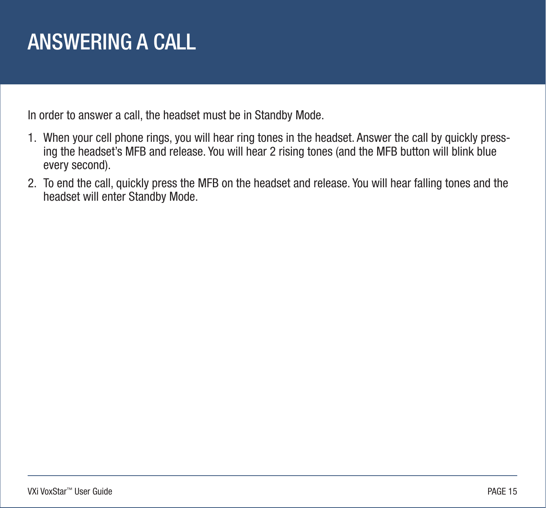#### <span id="page-14-0"></span>ANSWERING A CALL

In order to answer a call, the headset must be in Standby Mode.

- 1. When your cell phone rings, you will hear ring tones in the headset. Answer the call by quickly pressing the headset's MFB and release. You will hear 2 rising tones (and the MFB button will blink blue every second).
- 2. To end the call, quickly press the MFB on the headset and release. You will hear falling tones and the headset will enter Standby Mode.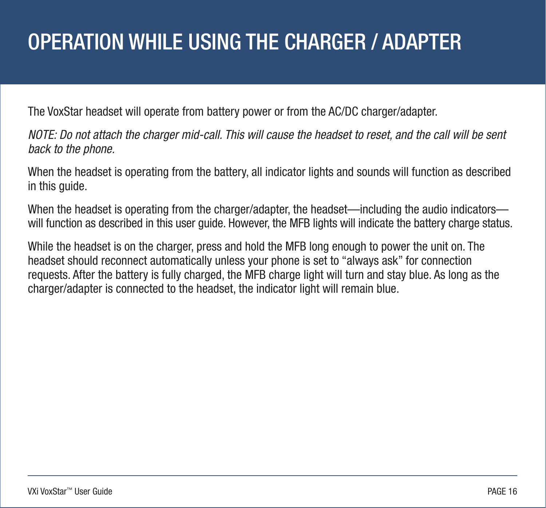### <span id="page-15-0"></span>OPERATION WHILE USING THE CHARGER / ADAPTER

The VoxStar headset will operate from battery power or from the AC/DC charger/adapter.

*NOTE: Do not attach the charger mid-call. This will cause the headset to reset, and the call will be sent back to the phone.*

When the headset is operating from the battery, all indicator lights and sounds will function as described in this guide.

When the headset is operating from the charger/adapter, the headset—including the audio indicators will function as described in this user quide. However, the MFB lights will indicate the battery charge status.

While the headset is on the charger, press and hold the MFB long enough to power the unit on. The headset should reconnect automatically unless your phone is set to "always ask" for connection requests. After the battery is fully charged, the MFB charge light will turn and stay blue. As long as the charger/adapter is connected to the headset, the indicator light will remain blue.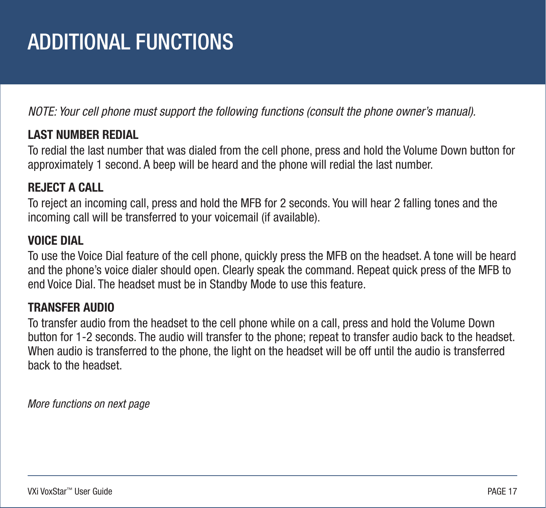# <span id="page-16-0"></span>ADDITIONAL FUNCTIONS

*NOTE: Your cell phone must support the following functions (consult the phone owner's manual).*

#### **LAST NUMBER REDIAL**

To redial the last number that was dialed from the cell phone, press and hold the Volume Down button for approximately 1 second. A beep will be heard and the phone will redial the last number.

#### **REJECT A CALL**

To reject an incoming call, press and hold the MFB for 2 seconds. You will hear 2 falling tones and the incoming call will be transferred to your voicemail (if available).

#### **VOICE DIAL**

To use the Voice Dial feature of the cell phone, quickly press the MFB on the headset. A tone will be heard and the phone's voice dialer should open. Clearly speak the command. Repeat quick press of the MFB to end Voice Dial. The headset must be in Standby Mode to use this feature.

#### **TRANSFER AUDIO**

To transfer audio from the headset to the cell phone while on a call, press and hold the Volume Down button for 1-2 seconds. The audio will transfer to the phone; repeat to transfer audio back to the headset. When audio is transferred to the phone, the light on the headset will be off until the audio is transferred back to the headset.

*More functions on next page*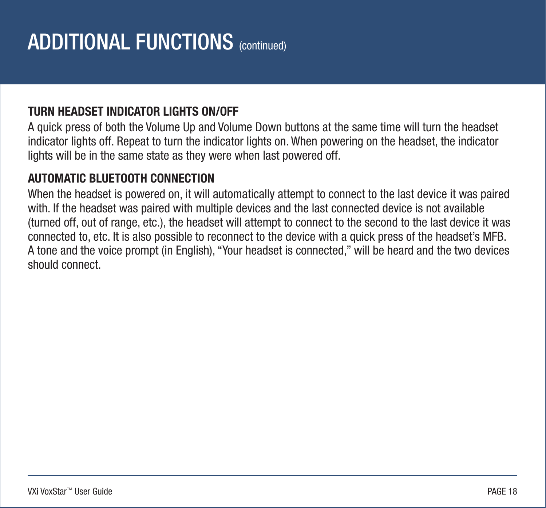#### **TURN HEADSET INDICATOR LIGHTS ON/OFF**

A quick press of both the Volume Up and Volume Down buttons at the same time will turn the headset indicator lights off. Repeat to turn the indicator lights on. When powering on the headset, the indicator lights will be in the same state as they were when last powered off.

#### **AUTOMATIC BLUETOOTH CONNECTION**

When the headset is powered on, it will automatically attempt to connect to the last device it was paired with. If the headset was paired with multiple devices and the last connected device is not available (turned off, out of range, etc.), the headset will attempt to connect to the second to the last device it was connected to, etc. It is also possible to reconnect to the device with a quick press of the headset's MFB. A tone and the voice prompt (in English), "Your headset is connected," will be heard and the two devices should connect.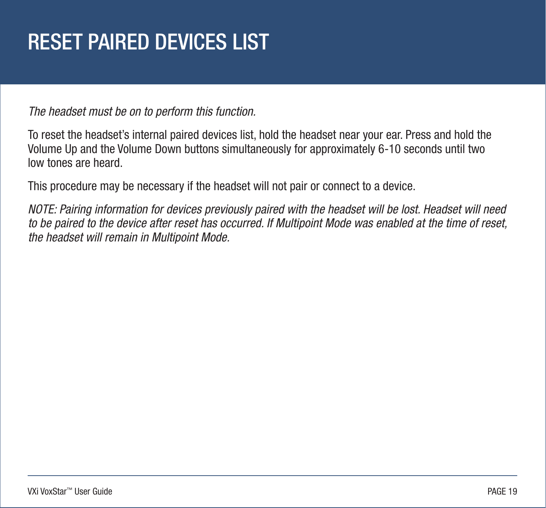# <span id="page-18-0"></span>RESET PAIRED DEVICES LIST

*The headset must be on to perform this function.*

To reset the headset's internal paired devices list, hold the headset near your ear. Press and hold the Volume Up and the Volume Down buttons simultaneously for approximately 6-10 seconds until two low tones are heard.

This procedure may be necessary if the headset will not pair or connect to a device.

*NOTE: Pairing information for devices previously paired with the headset will be lost. Headset will need to be paired to the device after reset has occurred. If Multipoint Mode was enabled at the time of reset, the headset will remain in Multipoint Mode.*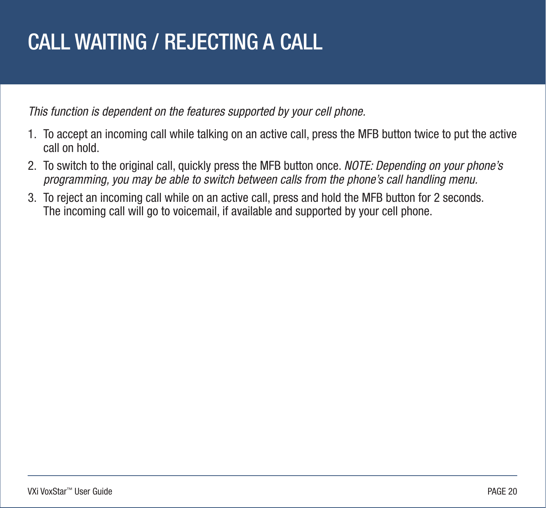### <span id="page-19-0"></span>CALL WAITING / REJECTING A CALL

*This function is dependent on the features supported by your cell phone.*

- 1. To accept an incoming call while talking on an active call, press the MFB button twice to put the active call on hold.
- 2. To switch to the original call, quickly press the MFB button once. *NOTE: Depending on your phone's programming, you may be able to switch between calls from the phone's call handling menu.*
- 3. To reject an incoming call while on an active call, press and hold the MFB button for 2 seconds. The incoming call will go to voicemail, if available and supported by your cell phone.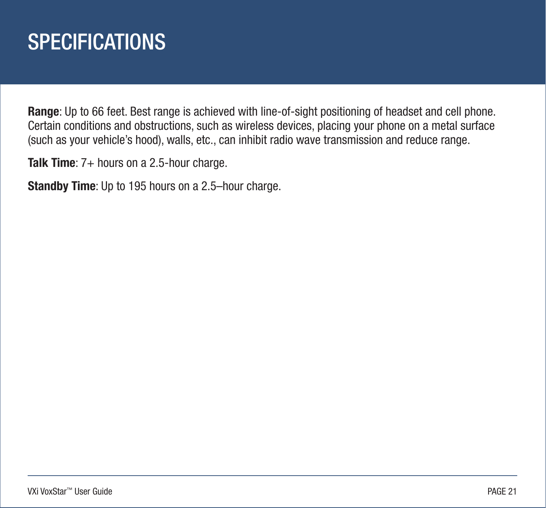#### <span id="page-20-0"></span>**SPECIFICATIONS**

**Range**: Up to 66 feet. Best range is achieved with line-of-sight positioning of headset and cell phone. Certain conditions and obstructions, such as wireless devices, placing your phone on a metal surface (such as your vehicle's hood), walls, etc., can inhibit radio wave transmission and reduce range.

**Talk Time**: 7+ hours on a 2.5-hour charge.

**Standby Time**: Up to 195 hours on a 2.5–hour charge.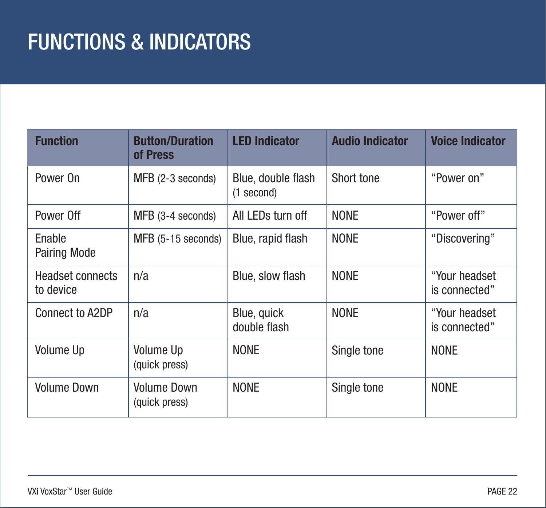<span id="page-21-0"></span>

| <b>Function</b>                      | <b>Button/Duration</b><br>of Press  | <b>LED Indicator</b>             | <b>Audio Indicator</b> | <b>Voice Indicator</b>          |
|--------------------------------------|-------------------------------------|----------------------------------|------------------------|---------------------------------|
| Power On                             | MFB (2-3 seconds)                   | Blue, double flash<br>(1 second) | Short tone             | "Power on"                      |
| Power Off                            | MFB (3-4 seconds)                   | All LEDs turn off                | <b>NONE</b>            | "Power off"                     |
| Enable<br><b>Pairing Mode</b>        | MFB (5-15 seconds)                  | Blue, rapid flash                | <b>NONE</b>            | "Discovering"                   |
| <b>Headset connects</b><br>to device | n/a                                 | Blue, slow flash                 | <b>NONE</b>            | "Your headset"<br>is connected" |
| Connect to A2DP                      | n/a                                 | Blue, quick<br>double flash      | <b>NONE</b>            | "Your headset"<br>is connected" |
| <b>Volume Up</b>                     | Volume Up<br>(quick press)          | <b>NONE</b>                      | Single tone            | <b>NONE</b>                     |
| <b>Volume Down</b>                   | <b>Volume Down</b><br>(quick press) | <b>NONE</b>                      | Single tone            | <b>NONE</b>                     |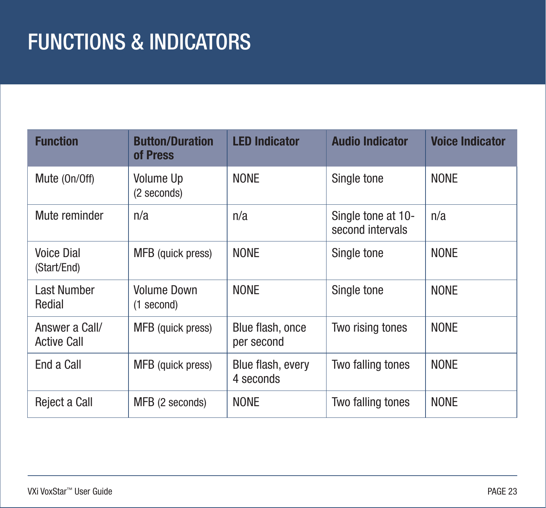| <b>Function</b>                      | <b>Button/Duration</b><br>of Press | <b>LED Indicator</b>           | <b>Audio Indicator</b>                 | <b>Voice Indicator</b> |
|--------------------------------------|------------------------------------|--------------------------------|----------------------------------------|------------------------|
| Mute (On/Off)                        | <b>Volume Up</b><br>(2 seconds)    | <b>NONE</b>                    | Single tone                            | <b>NONE</b>            |
| Mute reminder                        | n/a                                | n/a                            | Single tone at 10-<br>second intervals | n/a                    |
| <b>Voice Dial</b><br>(Start/End)     | MFB (quick press)                  | <b>NONE</b>                    | Single tone                            | <b>NONE</b>            |
| <b>Last Number</b><br>Redial         | <b>Volume Down</b><br>(1 second)   | <b>NONE</b>                    | Single tone                            | <b>NONE</b>            |
| Answer a Call/<br><b>Active Call</b> | MFB (quick press)                  | Blue flash, once<br>per second | Two rising tones                       | <b>NONE</b>            |
| End a Call                           | MFB (quick press)                  | Blue flash, every<br>4 seconds | Two falling tones                      | <b>NONE</b>            |
| Reject a Call                        | MFB (2 seconds)                    | <b>NONE</b>                    | Two falling tones                      | <b>NONE</b>            |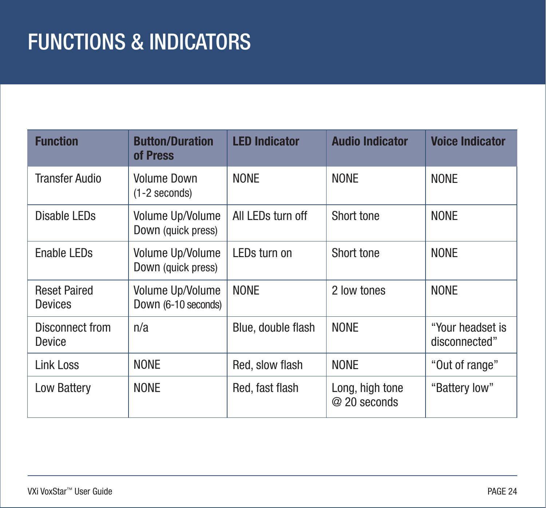| <b>Function</b>                       | <b>Button/Duration</b><br>of Press      | <b>LED Indicator</b> | <b>Audio Indicator</b>          | <b>Voice Indicator</b>            |
|---------------------------------------|-----------------------------------------|----------------------|---------------------------------|-----------------------------------|
| <b>Transfer Audio</b>                 | <b>Volume Down</b><br>$(1-2$ seconds)   | <b>NONE</b>          | <b>NONE</b>                     | <b>NONE</b>                       |
| Disable LEDs                          | Volume Up/Volume<br>Down (quick press)  | All LEDs turn off    | Short tone                      | <b>NONE</b>                       |
| <b>Enable LEDs</b>                    | Volume Up/Volume<br>Down (quick press)  | LEDs turn on         | Short tone                      | <b>NONE</b>                       |
| <b>Reset Paired</b><br><b>Devices</b> | Volume Up/Volume<br>Down (6-10 seconds) | <b>NONE</b>          | 2 low tones                     | <b>NONE</b>                       |
| Disconnect from<br><b>Device</b>      | n/a                                     | Blue, double flash   | <b>NONE</b>                     | "Your headset is<br>disconnected" |
| <b>Link Loss</b>                      | <b>NONE</b>                             | Red, slow flash      | <b>NONE</b>                     | "Out of range"                    |
| Low Battery                           | <b>NONE</b>                             | Red, fast flash      | Long, high tone<br>@ 20 seconds | "Battery low"                     |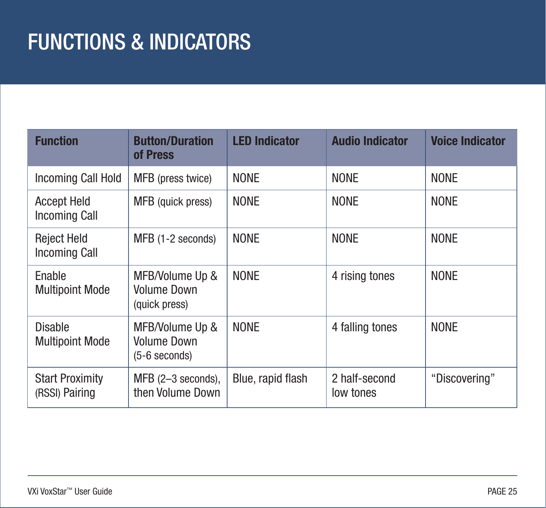| <b>Function</b>                            | <b>Button/Duration</b><br>of Press                       | <b>LED Indicator</b> | <b>Audio Indicator</b>     | <b>Voice Indicator</b> |
|--------------------------------------------|----------------------------------------------------------|----------------------|----------------------------|------------------------|
| Incoming Call Hold                         | MFB (press twice)                                        | <b>NONE</b>          | <b>NONE</b>                | <b>NONE</b>            |
| <b>Accept Held</b><br>Incoming Call        | MFB (quick press)                                        | <b>NONE</b>          | <b>NONE</b>                | <b>NONE</b>            |
| <b>Reject Held</b><br><b>Incoming Call</b> | MFB (1-2 seconds)                                        | <b>NONE</b>          | <b>NONE</b>                | <b>NONE</b>            |
| Enable<br><b>Multipoint Mode</b>           | MFB/Volume Up &<br><b>Volume Down</b><br>(quick press)   | <b>NONE</b>          | 4 rising tones             | <b>NONE</b>            |
| <b>Disable</b><br><b>Multipoint Mode</b>   | MFB/Volume Up &<br><b>Volume Down</b><br>$(5-6$ seconds) | <b>NONE</b>          | 4 falling tones            | <b>NONE</b>            |
| <b>Start Proximity</b><br>(RSSI) Pairing   | $MFB$ (2-3 seconds),<br>then Volume Down                 | Blue, rapid flash    | 2 half-second<br>low tones | "Discovering"          |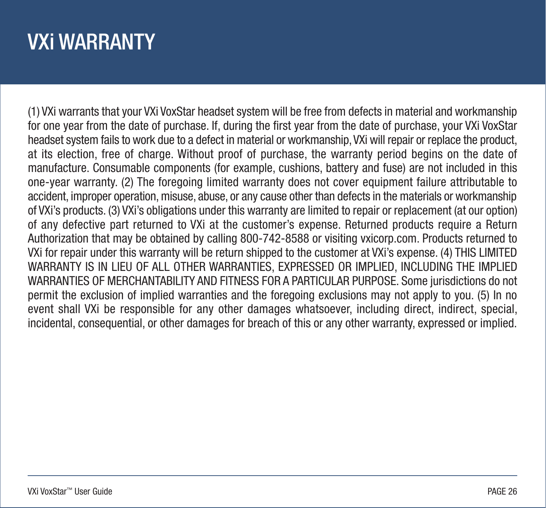### <span id="page-25-0"></span>VXi WARRANTY

(1) VXi warrants that your VXi VoxStar headset system will be free from defects in material and workmanship for one year from the date of purchase. If, during the first year from the date of purchase, your VXi VoxStar headset system fails to work due to a defect in material or workmanship, VXi will repair or replace the product, at its election, free of charge. Without proof of purchase, the warranty period begins on the date of manufacture. Consumable components (for example, cushions, battery and fuse) are not included in this one-year warranty. (2) The foregoing limited warranty does not cover equipment failure attributable to accident, improper operation, misuse, abuse, or any cause other than defects in the materials or workmanship of VXi's products. (3) VXi's obligations under this warranty are limited to repair or replacement (at our option) of any defective part returned to VXi at the customer's expense. Returned products require a Return Authorization that may be obtained by calling 800-742-8588 or visiting vxicorp.com. Products returned to VXi for repair under this warranty will be return shipped to the customer at VXi's expense. (4) THIS LIMITED WARRANTY IS IN LIEU OF ALL OTHER WARRANTIES, EXPRESSED OR IMPLIED, INCLUDING THE IMPLIED WARRANTIES OF MERCHANTABILITY AND FITNESS FOR A PARTICULAR PURPOSE. Some jurisdictions do not permit the exclusion of implied warranties and the foregoing exclusions may not apply to you. (5) In no event shall VXi be responsible for any other damages whatsoever, including direct, indirect, special, incidental, consequential, or other damages for breach of this or any other warranty, expressed or implied.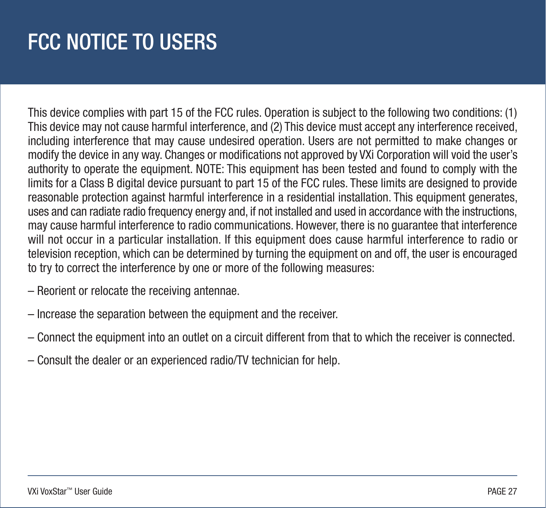# <span id="page-26-0"></span>FCC NOTICE TO USERS

This device complies with part 15 of the FCC rules. Operation is subject to the following two conditions: (1) This device may not cause harmful interference, and (2) This device must accept any interference received, including interference that may cause undesired operation. Users are not permitted to make changes or modify the device in any way. Changes or modifications not approved by VXi Corporation will void the user's authority to operate the equipment. NOTE: This equipment has been tested and found to comply with the limits for a Class B digital device pursuant to part 15 of the FCC rules. These limits are designed to provide reasonable protection against harmful interference in a residential installation. This equipment generates, uses and can radiate radio frequency energy and, if not installed and used in accordance with the instructions, may cause harmful interference to radio communications. However, there is no guarantee that interference will not occur in a particular installation. If this equipment does cause harmful interference to radio or television reception, which can be determined by turning the equipment on and off, the user is encouraged to try to correct the interference by one or more of the following measures:

- Reorient or relocate the receiving antennae.
- Increase the separation between the equipment and the receiver.
- Connect the equipment into an outlet on a circuit different from that to which the receiver is connected.
- Consult the dealer or an experienced radio/TV technician for help.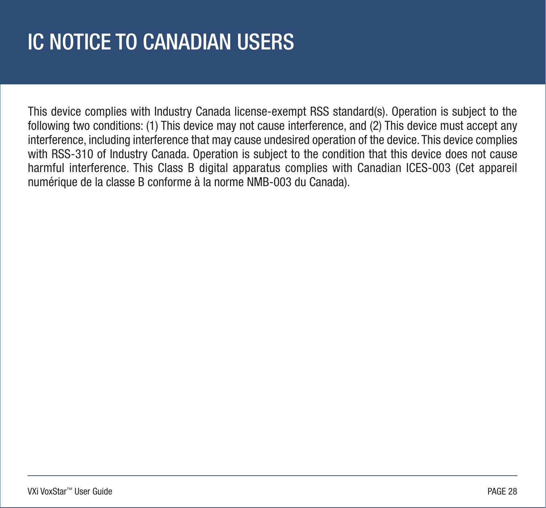# <span id="page-27-0"></span>IC NOTICE TO CANADIAN USERS

This device complies with Industry Canada license-exempt RSS standard(s). Operation is subject to the following two conditions: (1) This device may not cause interference, and (2) This device must accept any interference, including interference that may cause undesired operation of the device. This device complies with RSS-310 of Industry Canada. Operation is subject to the condition that this device does not cause harmful interference. This Class B digital apparatus complies with Canadian ICES-003 (Cet appareil numérique de la classe B conforme à la norme NMB-003 du Canada).